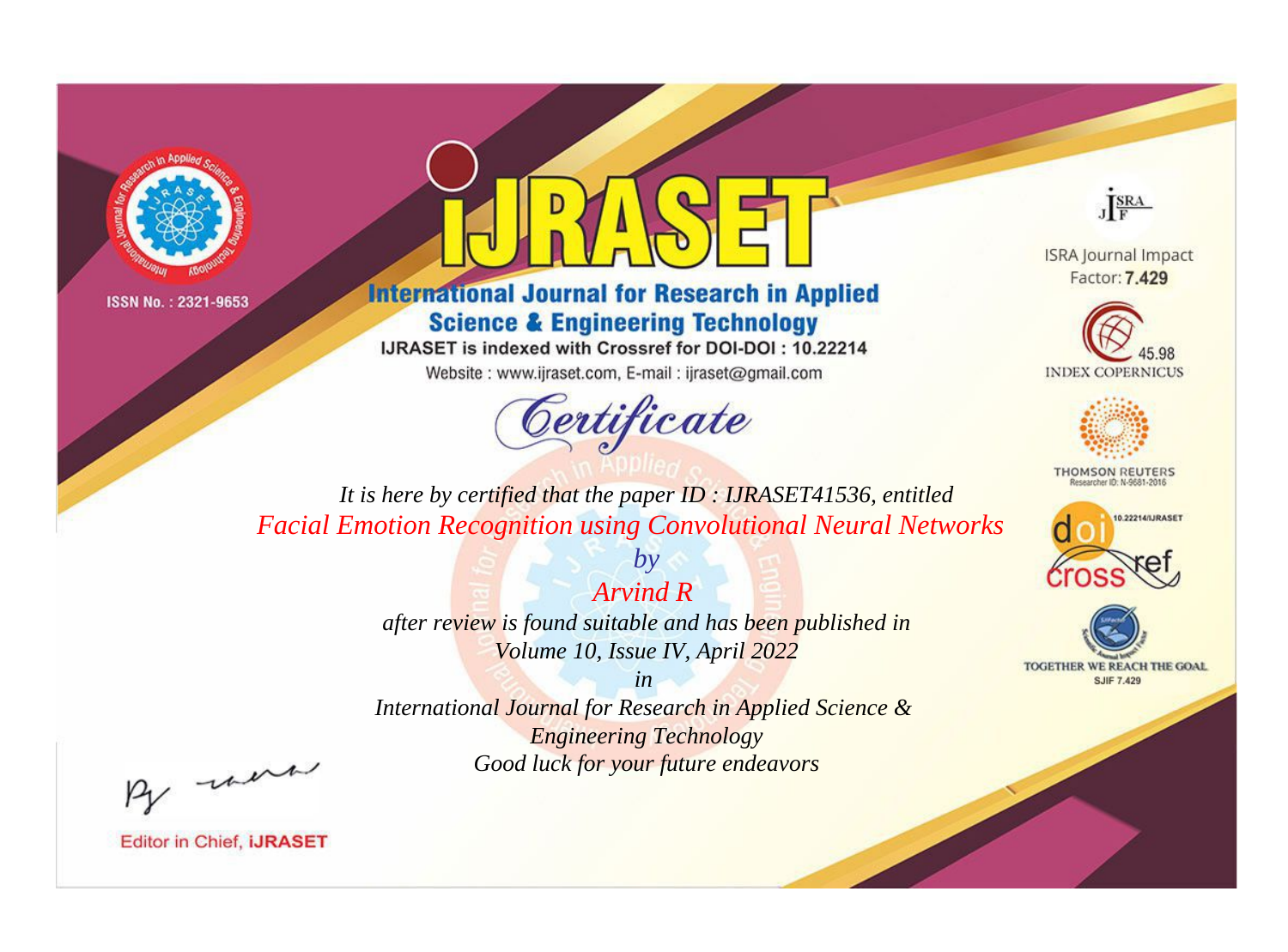



**International Journal for Research in Applied Science & Engineering Technology** 

IJRASET is indexed with Crossref for DOI-DOI: 10.22214

Website: www.ijraset.com, E-mail: ijraset@gmail.com



JERA

**ISRA Journal Impact** Factor: 7.429





**THOMSON REUTERS** 



TOGETHER WE REACH THE GOAL **SJIF 7.429** 

*It is here by certified that the paper ID : IJRASET41536, entitled Facial Emotion Recognition using Convolutional Neural Networks*

*Arvind R* 

*by*

*after review is found suitable and has been published in Volume 10, Issue IV, April 2022*

*in* 

*International Journal for Research in Applied Science & Engineering Technology Good luck for your future endeavors*

By morn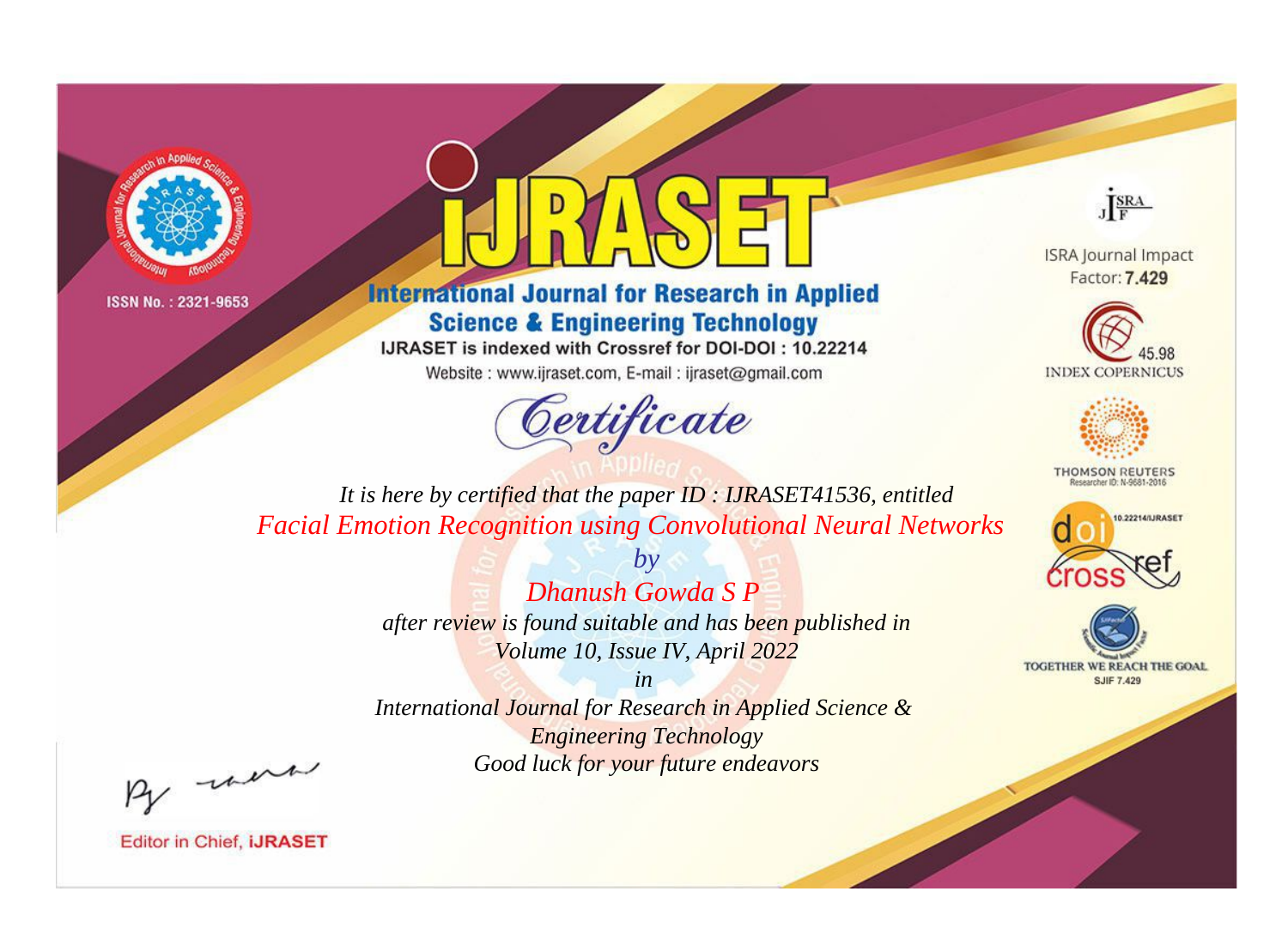



**International Journal for Research in Applied Science & Engineering Technology** 

IJRASET is indexed with Crossref for DOI-DOI: 10.22214

Website: www.ijraset.com, E-mail: ijraset@gmail.com



JERA

**ISRA Journal Impact** Factor: 7.429





**THOMSON REUTERS** 



TOGETHER WE REACH THE GOAL **SJIF 7.429** 

*It is here by certified that the paper ID : IJRASET41536, entitled Facial Emotion Recognition using Convolutional Neural Networks*

> *by Dhanush Gowda S P*

*after review is found suitable and has been published in Volume 10, Issue IV, April 2022*

*in* 

*International Journal for Research in Applied Science & Engineering Technology Good luck for your future endeavors*

By morn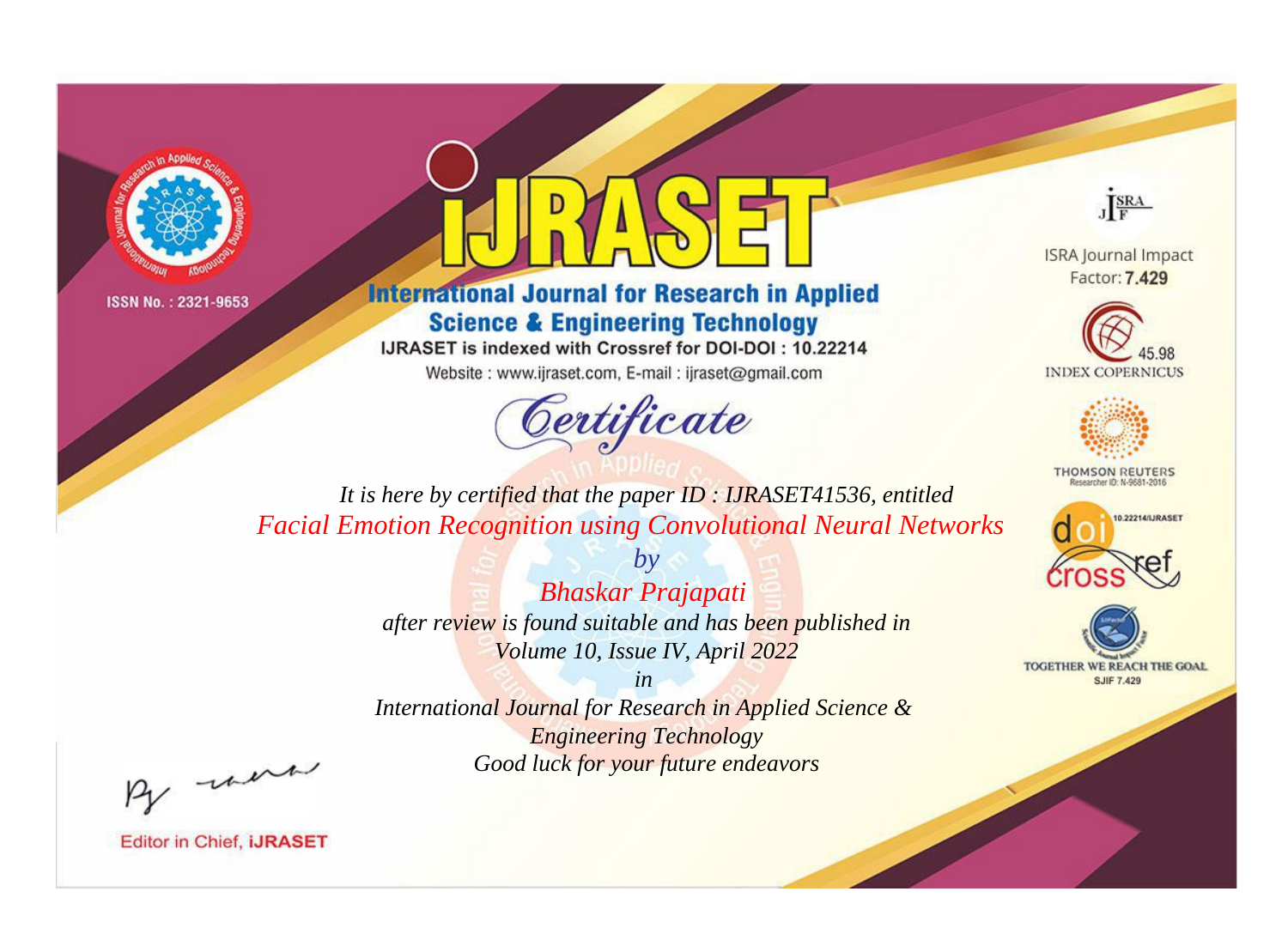



**International Journal for Research in Applied Science & Engineering Technology** 

IJRASET is indexed with Crossref for DOI-DOI: 10.22214

Website: www.ijraset.com, E-mail: ijraset@gmail.com



JERA

**ISRA Journal Impact** Factor: 7.429





**THOMSON REUTERS** 



TOGETHER WE REACH THE GOAL **SJIF 7.429** 

It is here by certified that the paper ID: IJRASET41536, entitled **Facial Emotion Recognition using Convolutional Neural Networks** 

> **Bhaskar Prajapati** after review is found suitable and has been published in Volume 10, Issue IV, April 2022

 $b\nu$ 

 $in$ International Journal for Research in Applied Science & **Engineering Technology** Good luck for your future endeavors

By morn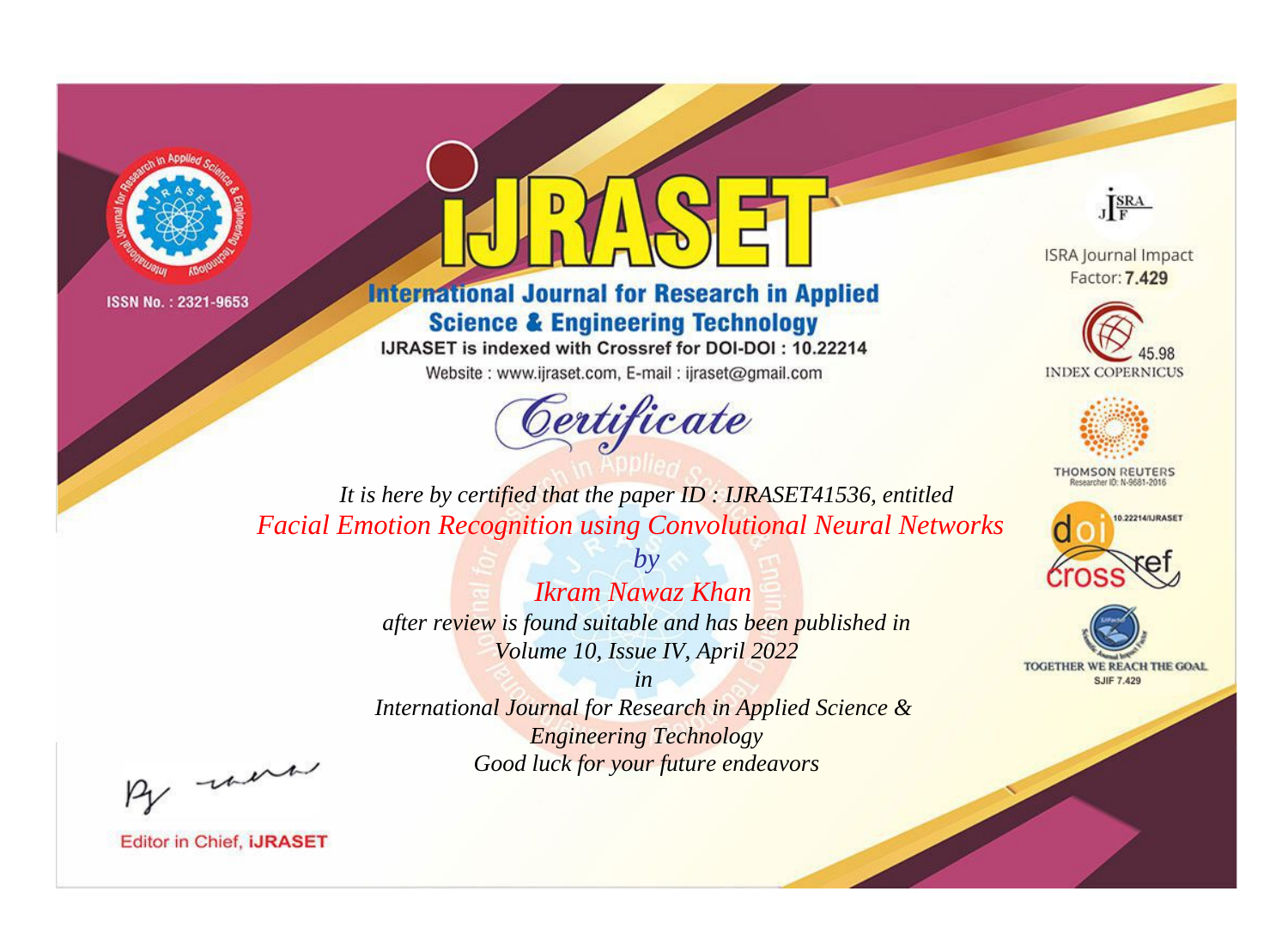



**International Journal for Research in Applied Science & Engineering Technology** 

IJRASET is indexed with Crossref for DOI-DOI: 10.22214

Website: www.ijraset.com, E-mail: ijraset@gmail.com



JERA

**ISRA Journal Impact** Factor: 7.429





**THOMSON REUTERS** 



TOGETHER WE REACH THE GOAL **SJIF 7.429** 

*It is here by certified that the paper ID : IJRASET41536, entitled Facial Emotion Recognition using Convolutional Neural Networks*

> *Ikram Nawaz Khan after review is found suitable and has been published in Volume 10, Issue IV, April 2022*

*by*

*in* 

*International Journal for Research in Applied Science & Engineering Technology Good luck for your future endeavors*

By morn